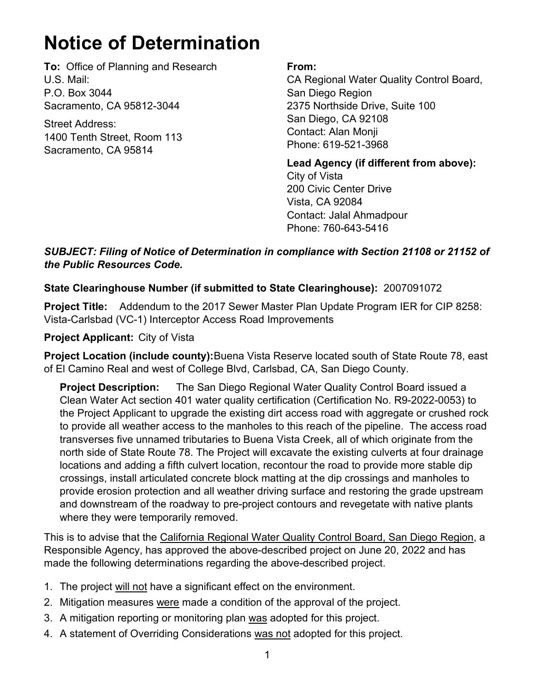# **Notice of Determination**

**To:** Office of Planning and Research U.S. Mail: P.O. Box 3044 Sacramento, CA 95812-3044

Street Address: 1400 Tenth Street, Room 113 Sacramento, CA 95814

#### **From:**

CA Regional Water Quality Control Board, San Diego Region 2375 Northside Drive, Suite 100 San Diego, CA 92108 Contact: Alan Monji Phone: 619-521-3968

**Lead Agency (if different from above):** City of Vista 200 Civic Center Drive Vista, CA 92084 Contact: Jalal Ahmadpour Phone: 760-643-5416

### *SUBJECT: Filing of Notice of Determination in compliance with Section 21108 or 21152 of the Public Resources Code.*

# **State Clearinghouse Number (if submitted to State Clearinghouse):** 2007091072

**Project Title:** Addendum to the 2017 Sewer Master Plan Update Program IER for CIP 8258: Vista-Carlsbad (VC-1) Interceptor Access Road Improvements

# **Project Applicant:** City of Vista

**Project Location (include county):**Buena Vista Reserve located south of State Route 78, east of El Camino Real and west of College Blvd, Carlsbad, CA, San Diego County.

**Project Description:** The San Diego Regional Water Quality Control Board issued a Clean Water Act section 401 water quality certification (Certification No. R9-2022-0053) to the Project Applicant to upgrade the existing dirt access road with aggregate or crushed rock to provide all weather access to the manholes to this reach of the pipeline. The access road transverses five unnamed tributaries to Buena Vista Creek, all of which originate from the north side of State Route 78. The Project will excavate the existing culverts at four drainage locations and adding a fifth culvert location, recontour the road to provide more stable dip crossings, install articulated concrete block matting at the dip crossings and manholes to provide erosion protection and all weather driving surface and restoring the grade upstream and downstream of the roadway to pre-project contours and revegetate with native plants where they were temporarily removed.

This is to advise that the California Regional Water Quality Control Board, San Diego Region, a Responsible Agency, has approved the above-described project on June 20, 2022 and has made the following determinations regarding the above-described project.

- 1. The project will not have a significant effect on the environment.
- 2. Mitigation measures were made a condition of the approval of the project.
- 3. A mitigation reporting or monitoring plan was adopted for this project.
- 4. A statement of Overriding Considerations was not adopted for this project.